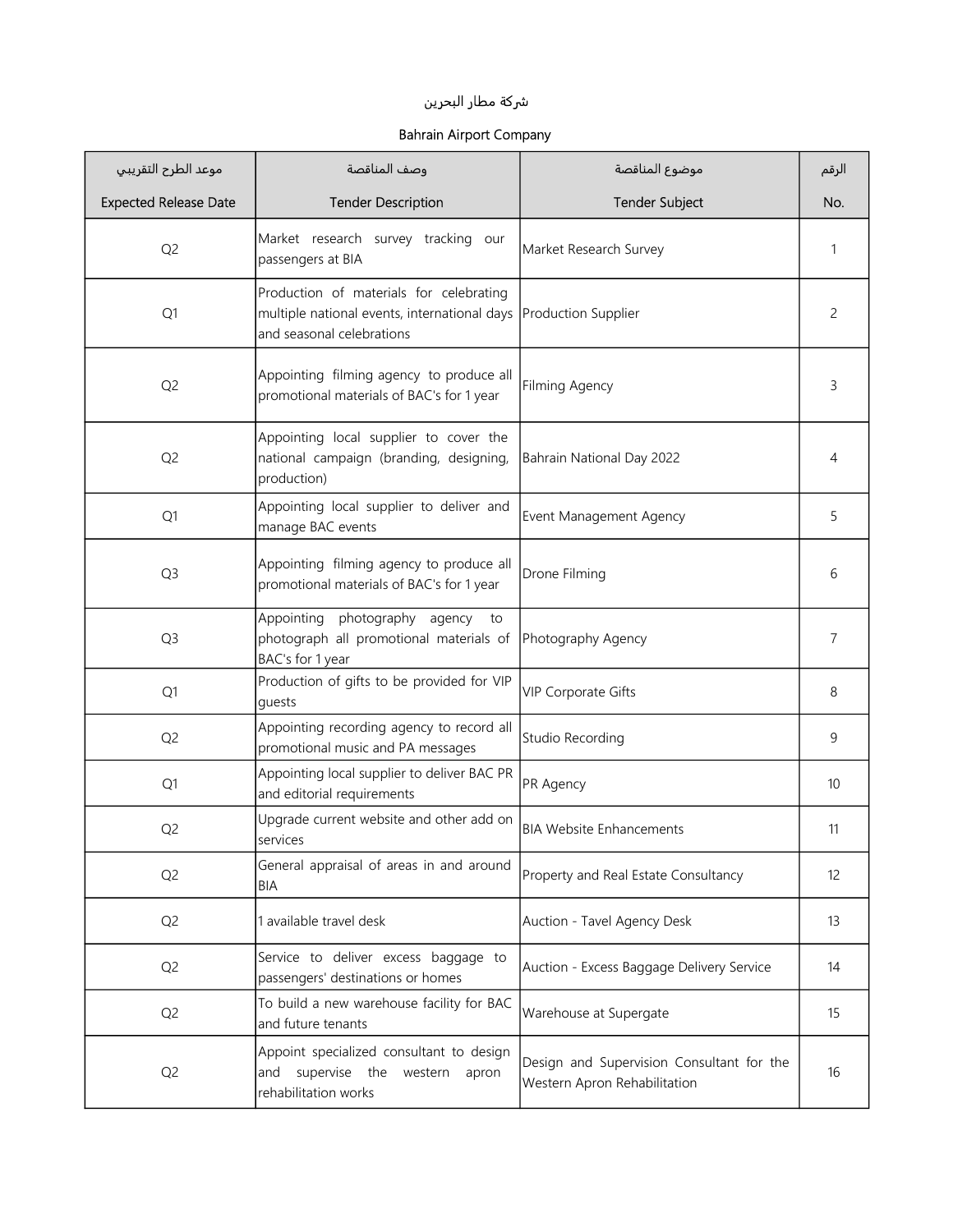## ුكة مطار البحرين

## Bahrain Airport Company

| موعد الطرح التقريبي          | وصف المناقصة                                                                                                         | موضوع المناقصة                                                            | الرقم |
|------------------------------|----------------------------------------------------------------------------------------------------------------------|---------------------------------------------------------------------------|-------|
| <b>Expected Release Date</b> | <b>Tender Description</b>                                                                                            | <b>Tender Subject</b>                                                     | No.   |
| Q <sub>2</sub>               | Market research survey tracking our<br>passengers at BIA                                                             | Market Research Survey                                                    | 1     |
| Q1                           | Production of materials for celebrating<br>multiple national events, international days<br>and seasonal celebrations | Production Supplier                                                       | 2     |
| Q <sub>2</sub>               | Appointing filming agency to produce all<br>promotional materials of BAC's for 1 year                                | Filming Agency                                                            | 3     |
| Q <sub>2</sub>               | Appointing local supplier to cover the<br>national campaign (branding, designing,<br>production)                     | Bahrain National Day 2022                                                 | 4     |
| Q1                           | Appointing local supplier to deliver and<br>manage BAC events                                                        | Event Management Agency                                                   | 5     |
| Q <sub>3</sub>               | Appointing filming agency to produce all<br>promotional materials of BAC's for 1 year                                | Drone Filming                                                             | 6     |
| Q <sub>3</sub>               | photography agency<br>Appointing<br>to<br>photograph all promotional materials of<br>BAC's for 1 year                | Photography Agency                                                        | 7     |
| Q1                           | Production of gifts to be provided for VIP<br>quests                                                                 | VIP Corporate Gifts                                                       | 8     |
| Q <sub>2</sub>               | Appointing recording agency to record all<br>promotional music and PA messages                                       | Studio Recording                                                          | 9     |
| Q1                           | Appointing local supplier to deliver BAC PR<br>and editorial requirements                                            | PR Agency                                                                 | 10    |
| Q <sub>2</sub>               | Upgrade current website and other add on<br>services                                                                 | <b>BIA Website Enhancements</b>                                           | 11    |
| Q <sub>2</sub>               | General appraisal of areas in and around<br>BIA                                                                      | Property and Real Estate Consultancy                                      | 12    |
| Q <sub>2</sub>               | 1 available travel desk                                                                                              | Auction - Tavel Agency Desk                                               | 13    |
| Q <sub>2</sub>               | Service to deliver excess baggage to<br>passengers' destinations or homes                                            | Auction - Excess Baggage Delivery Service                                 | 14    |
| Q <sub>2</sub>               | To build a new warehouse facility for BAC<br>and future tenants                                                      | Warehouse at Supergate                                                    | 15    |
| Q <sub>2</sub>               | Appoint specialized consultant to design<br>supervise the western<br>and<br>apron<br>rehabilitation works            | Design and Supervision Consultant for the<br>Western Apron Rehabilitation | 16    |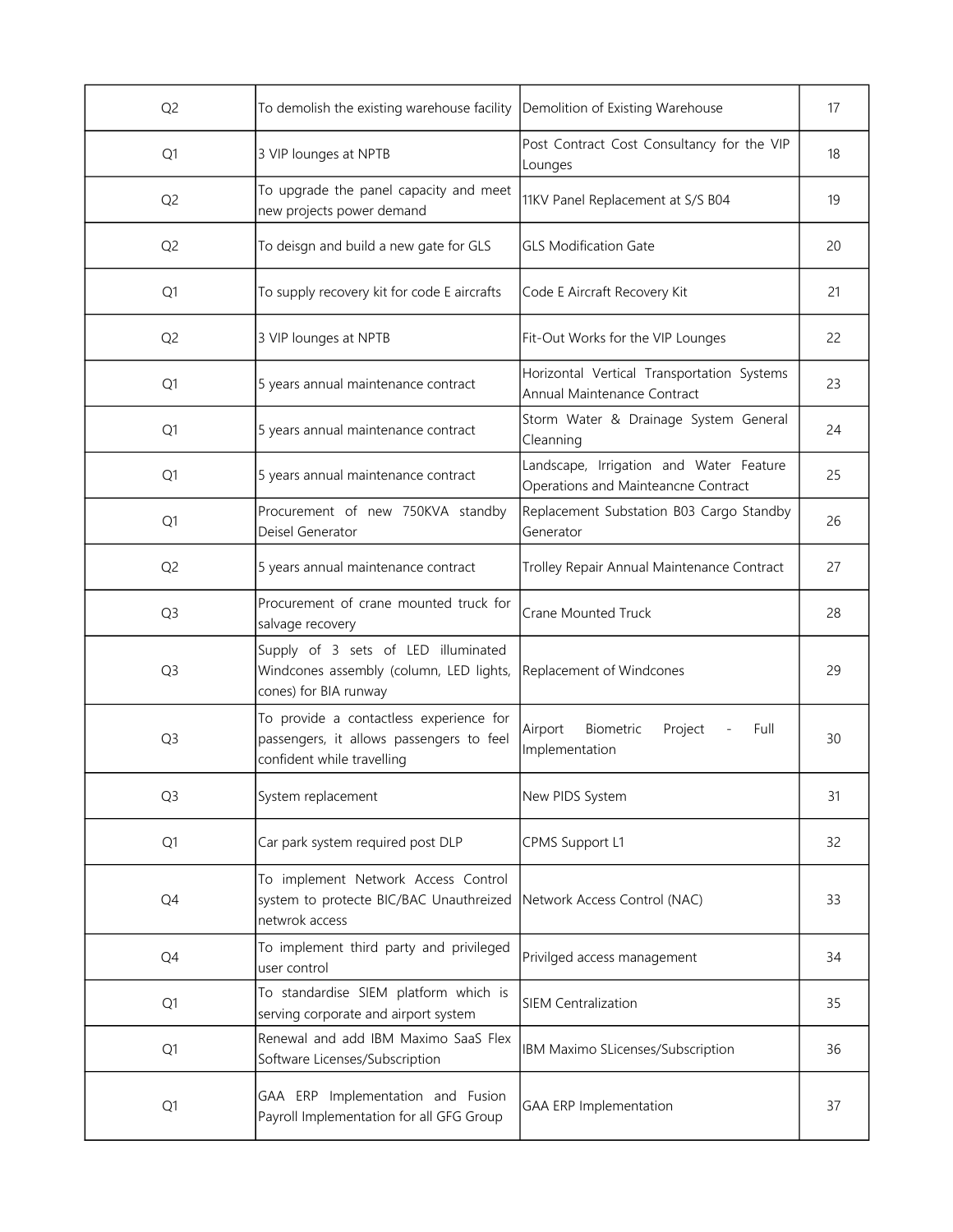| Q <sub>2</sub> | To demolish the existing warehouse facility                                                                       | Demolition of Existing Warehouse                                               | 17 |
|----------------|-------------------------------------------------------------------------------------------------------------------|--------------------------------------------------------------------------------|----|
| Q <sub>1</sub> | 3 VIP lounges at NPTB                                                                                             | Post Contract Cost Consultancy for the VIP<br>Lounges                          | 18 |
| Q <sub>2</sub> | To upgrade the panel capacity and meet<br>new projects power demand                                               | 11KV Panel Replacement at S/S B04                                              | 19 |
| Q <sub>2</sub> | To deisgn and build a new gate for GLS                                                                            | <b>GLS Modification Gate</b>                                                   | 20 |
| Q <sub>1</sub> | To supply recovery kit for code E aircrafts                                                                       | Code E Aircraft Recovery Kit                                                   | 21 |
| Q <sub>2</sub> | 3 VIP lounges at NPTB                                                                                             | Fit-Out Works for the VIP Lounges                                              | 22 |
| Q1             | 5 years annual maintenance contract                                                                               | Horizontal Vertical Transportation Systems<br>Annual Maintenance Contract      | 23 |
| Q1             | 5 years annual maintenance contract                                                                               | Storm Water & Drainage System General<br>Cleanning                             | 24 |
| Q <sub>1</sub> | 5 years annual maintenance contract                                                                               | Landscape, Irrigation and Water Feature<br>Operations and Mainteancne Contract | 25 |
| Q1             | Procurement of new 750KVA standby<br>Deisel Generator                                                             | Replacement Substation B03 Cargo Standby<br>Generator                          | 26 |
| Q <sub>2</sub> | 5 years annual maintenance contract                                                                               | Trolley Repair Annual Maintenance Contract                                     | 27 |
| Q <sub>3</sub> | Procurement of crane mounted truck for<br>salvage recovery                                                        | <b>Crane Mounted Truck</b>                                                     | 28 |
| Q <sub>3</sub> | Supply of 3 sets of LED illuminated<br>Windcones assembly (column, LED lights,<br>cones) for BIA runway           | Replacement of Windcones                                                       | 29 |
| Q <sub>3</sub> | To provide a contactless experience for<br>passengers, it allows passengers to feel<br>confident while travelling | Biometric<br>Airport<br>Project<br>Full<br>Implementation                      | 30 |
| Q <sub>3</sub> | System replacement                                                                                                | New PIDS System                                                                | 31 |
| Q1             | Car park system required post DLP                                                                                 | <b>CPMS Support L1</b>                                                         | 32 |
| Q4             | To implement Network Access Control<br>system to protecte BIC/BAC Unauthreized<br>netwrok access                  | Network Access Control (NAC)                                                   | 33 |
| Q4             | To implement third party and privileged<br>user control                                                           | Privilged access management                                                    | 34 |
| Q1             | To standardise SIEM platform which is<br>serving corporate and airport system                                     | <b>SIEM Centralization</b>                                                     | 35 |
| Q1             | Renewal and add IBM Maximo SaaS Flex<br>Software Licenses/Subscription                                            | IBM Maximo SLicenses/Subscription                                              | 36 |
| Q1             | GAA ERP Implementation and Fusion<br>Payroll Implementation for all GFG Group                                     | <b>GAA ERP Implementation</b>                                                  | 37 |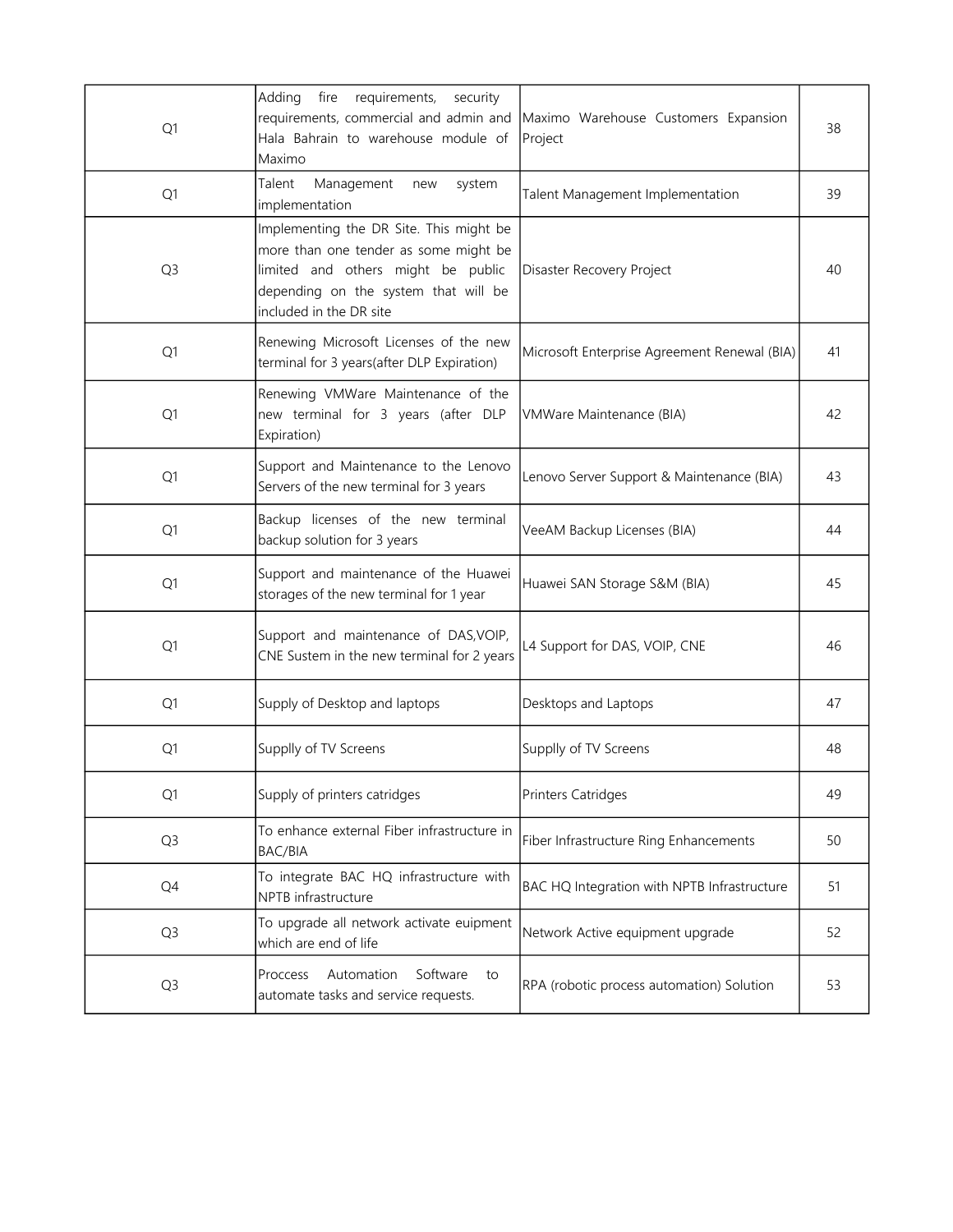| Q1             | Adding<br>fire<br>requirements,<br>security<br>requirements, commercial and admin and<br>Hala Bahrain to warehouse module of<br>Maximo                                                    | Maximo Warehouse Customers Expansion<br>Project | 38 |
|----------------|-------------------------------------------------------------------------------------------------------------------------------------------------------------------------------------------|-------------------------------------------------|----|
| Q1             | Management<br>Talent<br>system<br>new<br>implementation                                                                                                                                   | Talent Management Implementation                | 39 |
| Q <sub>3</sub> | Implementing the DR Site. This might be<br>more than one tender as some might be<br>limited and others might be public<br>depending on the system that will be<br>included in the DR site | Disaster Recovery Project                       | 40 |
| Q1             | Renewing Microsoft Licenses of the new<br>terminal for 3 years(after DLP Expiration)                                                                                                      | Microsoft Enterprise Agreement Renewal (BIA)    | 41 |
| Q1             | Renewing VMWare Maintenance of the<br>new terminal for 3 years (after DLP<br>Expiration)                                                                                                  | VMWare Maintenance (BIA)                        | 42 |
| Q <sub>1</sub> | Support and Maintenance to the Lenovo<br>Servers of the new terminal for 3 years                                                                                                          | Lenovo Server Support & Maintenance (BIA)       | 43 |
| Q1             | Backup licenses of the new terminal<br>backup solution for 3 years                                                                                                                        | VeeAM Backup Licenses (BIA)                     | 44 |
| Q1             | Support and maintenance of the Huawei<br>storages of the new terminal for 1 year                                                                                                          | Huawei SAN Storage S&M (BIA)                    | 45 |
| Q1             | Support and maintenance of DAS, VOIP,<br>CNE Sustem in the new terminal for 2 years                                                                                                       | L4 Support for DAS, VOIP, CNE                   | 46 |
| Q1             | Supply of Desktop and laptops                                                                                                                                                             | Desktops and Laptops                            | 47 |
| Q1             | Supplly of TV Screens                                                                                                                                                                     | Supplly of TV Screens                           | 48 |
| Q1             | Supply of printers catridges                                                                                                                                                              | <b>Printers Catridges</b>                       | 49 |
| Q <sub>3</sub> | To enhance external Fiber infrastructure in<br>BAC/BIA                                                                                                                                    | Fiber Infrastructure Ring Enhancements          | 50 |
| Q4             | To integrate BAC HQ infrastructure with<br>NPTB infrastructure                                                                                                                            | BAC HQ Integration with NPTB Infrastructure     | 51 |
| Q <sub>3</sub> | To upgrade all network activate euipment<br>which are end of life                                                                                                                         | Network Active equipment upgrade                | 52 |
| Q <sub>3</sub> | Automation<br>Software<br>Proccess<br>to<br>automate tasks and service requests.                                                                                                          | RPA (robotic process automation) Solution       | 53 |